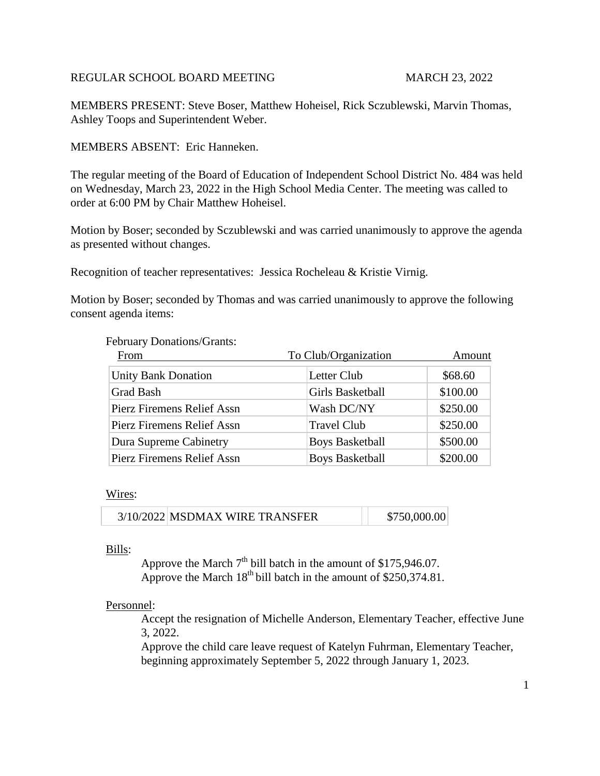# REGULAR SCHOOL BOARD MEETING MARCH 23, 2022

MEMBERS PRESENT: Steve Boser, Matthew Hoheisel, Rick Sczublewski, Marvin Thomas, Ashley Toops and Superintendent Weber.

MEMBERS ABSENT: Eric Hanneken.

The regular meeting of the Board of Education of Independent School District No. 484 was held on Wednesday, March 23, 2022 in the High School Media Center. The meeting was called to order at 6:00 PM by Chair Matthew Hoheisel.

Motion by Boser; seconded by Sczublewski and was carried unanimously to approve the agenda as presented without changes.

Recognition of teacher representatives: Jessica Rocheleau & Kristie Virnig.

Motion by Boser; seconded by Thomas and was carried unanimously to approve the following consent agenda items:

### February Donations/Grants:

| From                       | To Club/Organization   | Amount   |  |
|----------------------------|------------------------|----------|--|
| <b>Unity Bank Donation</b> | Letter Club            | \$68.60  |  |
| <b>Grad Bash</b>           | Girls Basketball       | \$100.00 |  |
| Pierz Firemens Relief Assn | Wash DC/NY             | \$250.00 |  |
| Pierz Firemens Relief Assn | <b>Travel Club</b>     | \$250.00 |  |
| Dura Supreme Cabinetry     | <b>Boys Basketball</b> | \$500.00 |  |
| Pierz Firemens Relief Assn | <b>Boys Basketball</b> | \$200.00 |  |

### Wires:

| 3/10/2022 MSDMAX WIRE TRANSFER | \$750,000.00 |
|--------------------------------|--------------|
|                                |              |

# Bills:

Approve the March  $7<sup>th</sup>$  bill batch in the amount of \$175,946.07. Approve the March  $18^{th}$  bill batch in the amount of \$250,374.81.

### Personnel:

Accept the resignation of Michelle Anderson, Elementary Teacher, effective June 3, 2022.

Approve the child care leave request of Katelyn Fuhrman, Elementary Teacher, beginning approximately September 5, 2022 through January 1, 2023.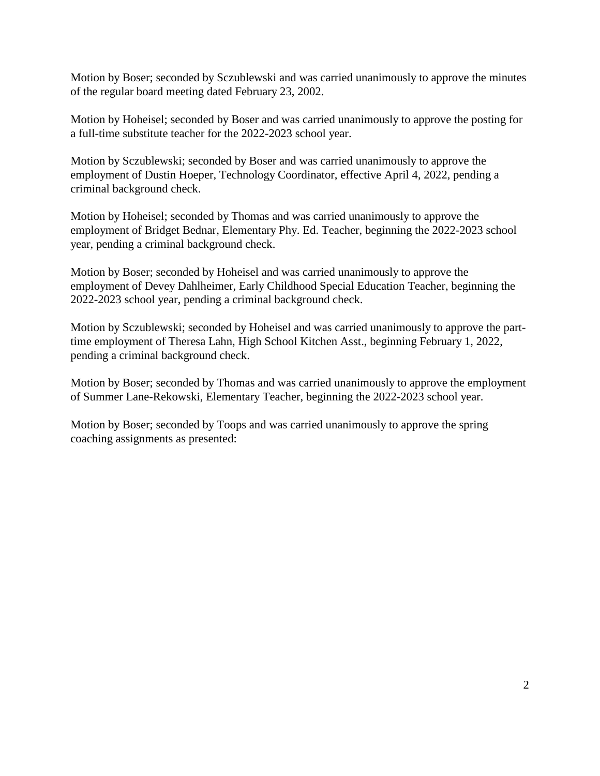Motion by Boser; seconded by Sczublewski and was carried unanimously to approve the minutes of the regular board meeting dated February 23, 2002.

Motion by Hoheisel; seconded by Boser and was carried unanimously to approve the posting for a full-time substitute teacher for the 2022-2023 school year.

Motion by Sczublewski; seconded by Boser and was carried unanimously to approve the employment of Dustin Hoeper, Technology Coordinator, effective April 4, 2022, pending a criminal background check.

Motion by Hoheisel; seconded by Thomas and was carried unanimously to approve the employment of Bridget Bednar, Elementary Phy. Ed. Teacher, beginning the 2022-2023 school year, pending a criminal background check.

Motion by Boser; seconded by Hoheisel and was carried unanimously to approve the employment of Devey Dahlheimer, Early Childhood Special Education Teacher, beginning the 2022-2023 school year, pending a criminal background check.

Motion by Sczublewski; seconded by Hoheisel and was carried unanimously to approve the parttime employment of Theresa Lahn, High School Kitchen Asst., beginning February 1, 2022, pending a criminal background check.

Motion by Boser; seconded by Thomas and was carried unanimously to approve the employment of Summer Lane-Rekowski, Elementary Teacher, beginning the 2022-2023 school year.

Motion by Boser; seconded by Toops and was carried unanimously to approve the spring coaching assignments as presented: